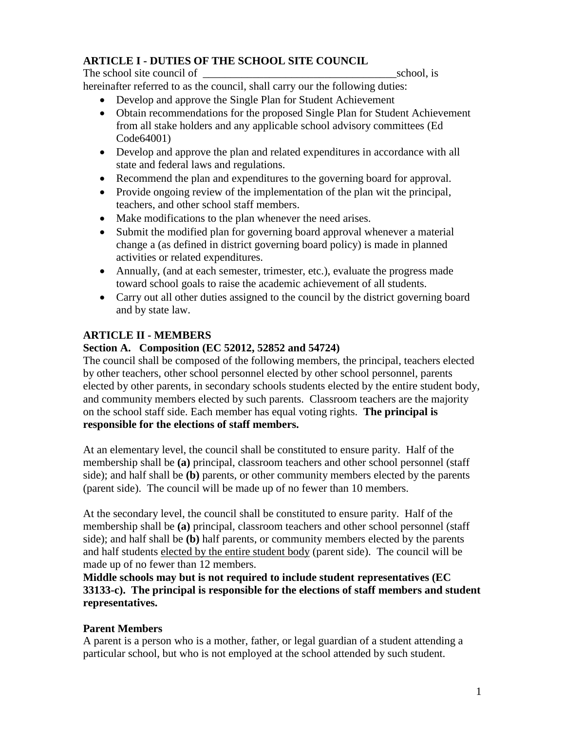## **ARTICLE I - DUTIES OF THE SCHOOL SITE COUNCIL**

The school site council of \_\_\_\_\_\_\_\_\_\_\_\_\_\_\_\_\_\_\_\_\_\_\_\_\_\_\_\_\_\_\_\_\_\_\_school, is hereinafter referred to as the council, shall carry our the following duties:

- Develop and approve the Single Plan for Student Achievement
- Obtain recommendations for the proposed Single Plan for Student Achievement from all stake holders and any applicable school advisory committees (Ed Code64001)
- Develop and approve the plan and related expenditures in accordance with all state and federal laws and regulations.
- Recommend the plan and expenditures to the governing board for approval.
- Provide ongoing review of the implementation of the plan wit the principal, teachers, and other school staff members.
- Make modifications to the plan whenever the need arises.
- Submit the modified plan for governing board approval whenever a material change a (as defined in district governing board policy) is made in planned activities or related expenditures.
- Annually, (and at each semester, trimester, etc.), evaluate the progress made toward school goals to raise the academic achievement of all students.
- Carry out all other duties assigned to the council by the district governing board and by state law.

# **ARTICLE II - MEMBERS**

## **Section A. Composition (EC 52012, 52852 and 54724)**

The council shall be composed of the following members, the principal, teachers elected by other teachers, other school personnel elected by other school personnel, parents elected by other parents, in secondary schools students elected by the entire student body, and community members elected by such parents. Classroom teachers are the majority on the school staff side. Each member has equal voting rights. **The principal is responsible for the elections of staff members.**

At an elementary level, the council shall be constituted to ensure parity. Half of the membership shall be **(a)** principal, classroom teachers and other school personnel (staff side); and half shall be **(b)** parents, or other community members elected by the parents (parent side). The council will be made up of no fewer than 10 members.

At the secondary level, the council shall be constituted to ensure parity. Half of the membership shall be **(a)** principal, classroom teachers and other school personnel (staff side); and half shall be **(b)** half parents, or community members elected by the parents and half students elected by the entire student body (parent side). The council will be made up of no fewer than 12 members.

**Middle schools may but is not required to include student representatives (EC 33133-c). The principal is responsible for the elections of staff members and student representatives.**

## **Parent Members**

A parent is a person who is a mother, father, or legal guardian of a student attending a particular school, but who is not employed at the school attended by such student.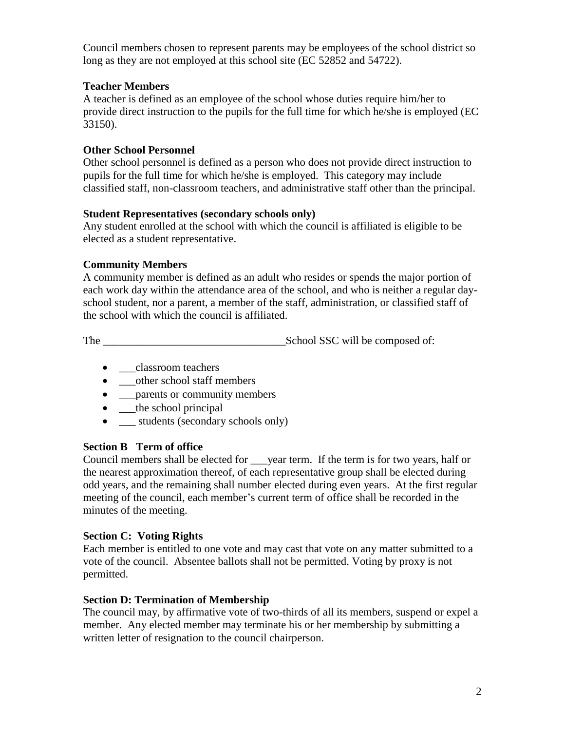Council members chosen to represent parents may be employees of the school district so long as they are not employed at this school site (EC 52852 and 54722).

## **Teacher Members**

A teacher is defined as an employee of the school whose duties require him/her to provide direct instruction to the pupils for the full time for which he/she is employed (EC 33150).

## **Other School Personnel**

Other school personnel is defined as a person who does not provide direct instruction to pupils for the full time for which he/she is employed. This category may include classified staff, non-classroom teachers, and administrative staff other than the principal.

#### **Student Representatives (secondary schools only)**

Any student enrolled at the school with which the council is affiliated is eligible to be elected as a student representative.

## **Community Members**

A community member is defined as an adult who resides or spends the major portion of each work day within the attendance area of the school, and who is neither a regular dayschool student, nor a parent, a member of the staff, administration, or classified staff of the school with which the council is affiliated.

The \_\_\_\_\_\_\_\_\_\_\_\_\_\_\_\_\_\_\_\_\_\_\_\_\_\_\_\_\_\_\_\_\_School SSC will be composed of:

- \_\_classroom teachers
- \_\_\_other school staff members
- \_\_\_parents or community members
- <u>the school principal</u>
- \_\_\_ students (secondary schools only)

## **Section B Term of office**

Council members shall be elected for vear term. If the term is for two years, half or the nearest approximation thereof, of each representative group shall be elected during odd years, and the remaining shall number elected during even years. At the first regular meeting of the council, each member's current term of office shall be recorded in the minutes of the meeting.

## **Section C: Voting Rights**

Each member is entitled to one vote and may cast that vote on any matter submitted to a vote of the council. Absentee ballots shall not be permitted. Voting by proxy is not permitted.

### **Section D: Termination of Membership**

The council may, by affirmative vote of two-thirds of all its members, suspend or expel a member. Any elected member may terminate his or her membership by submitting a written letter of resignation to the council chairperson.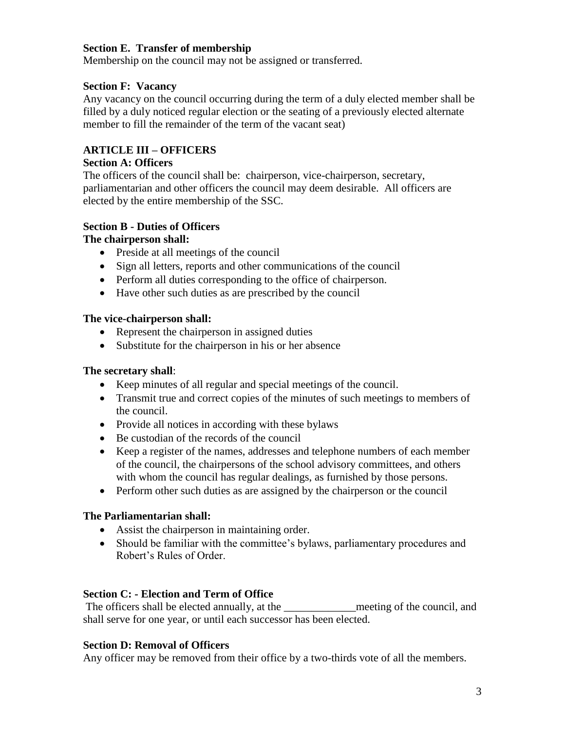## **Section E. Transfer of membership**

Membership on the council may not be assigned or transferred.

### **Section F: Vacancy**

Any vacancy on the council occurring during the term of a duly elected member shall be filled by a duly noticed regular election or the seating of a previously elected alternate member to fill the remainder of the term of the vacant seat)

## **ARTICLE III – OFFICERS**

#### **Section A: Officers**

The officers of the council shall be: chairperson, vice-chairperson, secretary, parliamentarian and other officers the council may deem desirable. All officers are elected by the entire membership of the SSC.

### **Section B - Duties of Officers**

### **The chairperson shall:**

- Preside at all meetings of the council
- Sign all letters, reports and other communications of the council
- Perform all duties corresponding to the office of chairperson.
- Have other such duties as are prescribed by the council

#### **The vice-chairperson shall:**

- Represent the chairperson in assigned duties
- Substitute for the chairperson in his or her absence

#### **The secretary shall**:

- Keep minutes of all regular and special meetings of the council.
- Transmit true and correct copies of the minutes of such meetings to members of the council.
- Provide all notices in according with these bylaws
- Be custodian of the records of the council
- Keep a register of the names, addresses and telephone numbers of each member of the council, the chairpersons of the school advisory committees, and others with whom the council has regular dealings, as furnished by those persons.
- Perform other such duties as are assigned by the chairperson or the council

### **The Parliamentarian shall:**

- Assist the chairperson in maintaining order.
- Should be familiar with the committee's bylaws, parliamentary procedures and Robert's Rules of Order.

### **Section C: - Election and Term of Office**

The officers shall be elected annually, at the <u>neural</u> meeting of the council, and shall serve for one year, or until each successor has been elected.

### **Section D: Removal of Officers**

Any officer may be removed from their office by a two-thirds vote of all the members.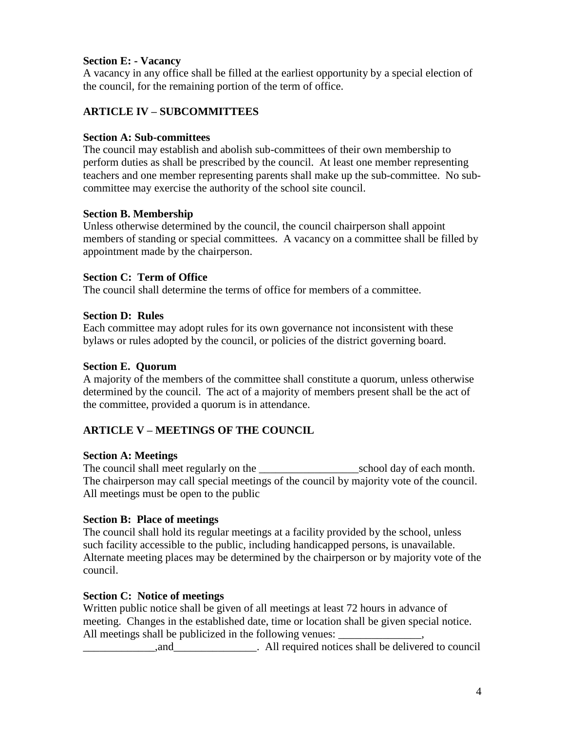## **Section E: - Vacancy**

A vacancy in any office shall be filled at the earliest opportunity by a special election of the council, for the remaining portion of the term of office.

## **ARTICLE IV – SUBCOMMITTEES**

#### **Section A: Sub-committees**

The council may establish and abolish sub-committees of their own membership to perform duties as shall be prescribed by the council. At least one member representing teachers and one member representing parents shall make up the sub-committee. No subcommittee may exercise the authority of the school site council.

#### **Section B. Membership**

Unless otherwise determined by the council, the council chairperson shall appoint members of standing or special committees. A vacancy on a committee shall be filled by appointment made by the chairperson.

#### **Section C: Term of Office**

The council shall determine the terms of office for members of a committee.

#### **Section D: Rules**

Each committee may adopt rules for its own governance not inconsistent with these bylaws or rules adopted by the council, or policies of the district governing board.

#### **Section E. Quorum**

A majority of the members of the committee shall constitute a quorum, unless otherwise determined by the council. The act of a majority of members present shall be the act of the committee, provided a quorum is in attendance.

### **ARTICLE V – MEETINGS OF THE COUNCIL**

### **Section A: Meetings**

The council shall meet regularly on the \_\_\_\_\_\_\_\_\_\_\_\_\_\_\_\_\_\_\_\_\_\_\_\_\_\_\_\_\_\_\_\_\_school day of each month. The chairperson may call special meetings of the council by majority vote of the council. All meetings must be open to the public

### **Section B: Place of meetings**

The council shall hold its regular meetings at a facility provided by the school, unless such facility accessible to the public, including handicapped persons, is unavailable. Alternate meeting places may be determined by the chairperson or by majority vote of the council.

### **Section C: Notice of meetings**

Written public notice shall be given of all meetings at least 72 hours in advance of meeting. Changes in the established date, time or location shall be given special notice. All meetings shall be publicized in the following venues:

and \_\_\_\_\_\_\_\_\_\_\_\_\_\_,and \_\_\_\_\_\_\_\_\_\_\_\_\_\_\_\_\_\_. All required notices shall be delivered to council